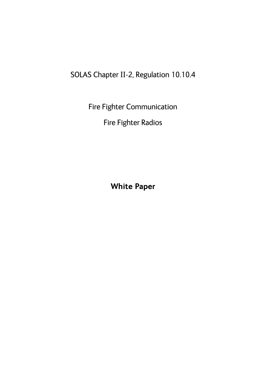# SOLAS Chapter II-2, Regulation 10.10.4

Fire Fighter Communication

Fire Fighter Radios

**White Paper**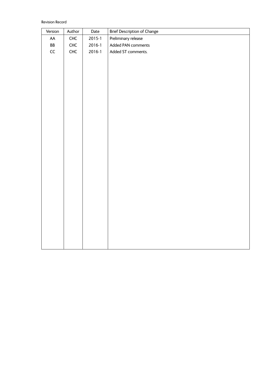Revision Record

| <b>Brief Description of Change</b><br>Version<br>Author<br>Date |  |
|-----------------------------------------------------------------|--|
| Preliminary release<br>CHC<br>$2015 - 1$<br>${\sf AA}$          |  |
| BB<br>CHC<br>$2016 - 1$<br>Added PAN comments                   |  |
| $\mathsf{CC}\xspace$<br>CHC<br>$2016 - 1$<br>Added ST comments. |  |
|                                                                 |  |
|                                                                 |  |
|                                                                 |  |
|                                                                 |  |
|                                                                 |  |
|                                                                 |  |
|                                                                 |  |
|                                                                 |  |
|                                                                 |  |
|                                                                 |  |
|                                                                 |  |
|                                                                 |  |
|                                                                 |  |
|                                                                 |  |
|                                                                 |  |
|                                                                 |  |
|                                                                 |  |
|                                                                 |  |
|                                                                 |  |
|                                                                 |  |
|                                                                 |  |
|                                                                 |  |
|                                                                 |  |
|                                                                 |  |
|                                                                 |  |
|                                                                 |  |
|                                                                 |  |
|                                                                 |  |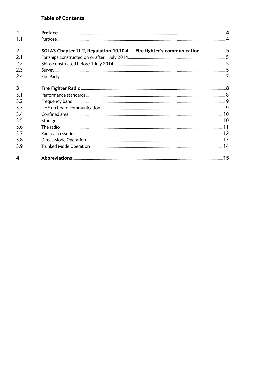# **Table of Contents**

| 1                       |                                                                         |    |
|-------------------------|-------------------------------------------------------------------------|----|
| 1.1                     |                                                                         |    |
| $\overline{2}$          | SOLAS Chapter II-2, Regulation 10.10.4 - Fire fighter's communication 5 |    |
| 2.1                     |                                                                         |    |
| 2.2                     |                                                                         |    |
| 2.3                     |                                                                         |    |
| 2.4                     |                                                                         |    |
| $\overline{\mathbf{3}}$ |                                                                         |    |
| 3.1                     |                                                                         |    |
| 3.2                     |                                                                         |    |
| 3.3                     |                                                                         |    |
| 3.4                     |                                                                         |    |
| 3.5                     |                                                                         |    |
| 3.6                     |                                                                         |    |
| 3.7                     |                                                                         |    |
| 3.8                     |                                                                         |    |
| 3.9                     |                                                                         |    |
| 4                       |                                                                         | 15 |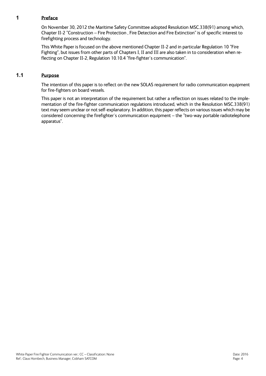## **1 Preface**

On November 30, 2012 the Maritime Safety Committee adopted Resolution MSC.338(91) among which, Chapter II-2 "Construction – Fire Protection , Fire Detection and Fire Extinction" is of specific interest to firefighting process and technology.

This White Paper is focused on the above mentioned Chapter II-2 and in particular Regulation 10 "Fire Fighting", but issues from other parts of Chapters I, II and III are also taken in to consideration when reflecting on Chapter II-2, Regulation 10.10.4 "fire-fighter´s communication".

# **1.1 Purpose**

The intention of this paper is to reflect on the new SOLAS requirement for radio communication equipment for fire-fighters on board vessels.

This paper is not an interpretation of the requirement but rather a reflection on issues related to the implementation of the fire-fighter communication regulations introduced, which in the Resolution MSC.338(91) text may seem unclear or not self-explanatory. In addition, this paper reflects on various issues which may be considered concerning the firefighter´s communication equipment – the "two-way portable radiotelephone apparatus".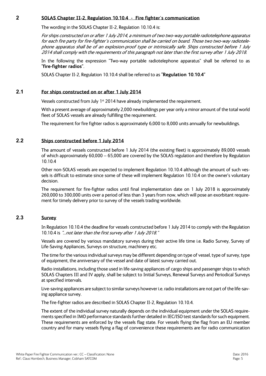#### **2 SOLAS Chapter II-2, Regulation 10.10.4 - Fire fighter´s communication**

The wording in the SOLAS Chapter II-2, Regulation 10.10.4 is:

For ships constructed on or after 1 July 2014, a minimum of two two-way portable radiotelephone apparatus for each fire party for fire-fighter´s communication shall be carried on board. Those two two-way radiotelephone apparatus shall be of an explosion-proof type or intrinsically safe. Ships constructed before 1 July 2014 shall comply with the requirements of this paragraph not later than the first survey after 1 July 2018.

In the following the expression "Two-way portable radiotelephone apparatus" shall be referred to as **"fire-fighter radios"**.

SOLAS Chapter II-2, Regulation 10.10.4 shall be referred to as **"Regulation 10.10.4"**

## **2.1 For ships constructed on or after 1 July 2014**

Vessels constructed from July 1<sup>st</sup> 2014 have already implemented the requirement.

With a present average of approximately 2,000 newbuildings per year only a minor amount of the total world fleet of SOLAS vessels are already fulfilling the requirement.

The requirement for fire fighter radios is approximately 6,000 to 8,000 units annually for newbuildings.

#### **2.2 Ships constructed before 1 July 2014**

The amount of vessels constructed before 1 July 2014 (the existing fleet) is approximately 89,000 vessels of which approximately 60,000 – 65,000 are covered by the SOLAS regulation and therefore by Regulation 10.10.4

Other non-SOLAS vessels are expected to implement Regulation 10.10.4 although the amount of such vessels is difficult to estimate since some of these will implement Regulation 10.10.4 on the owner's voluntary decision.

The requirement for fire-fighter radios until final implementation date on 1 July 2018 is approximately 260,000 to 300,000 units over a period of less than 3 years from now, which will pose an exorbitant requirement for timely delivery prior to survey of the vessels trading worldwide.

# **2.3 Survey**

In Regulation 10.10.4 the deadline for vessels constructed before 1 July 2014 to comply with the Regulation 10.10.4 is "…not later than the first survey after 1 July 2018."

Vessels are covered by various mandatory surveys during their active life time i.e. Radio Survey, Survey of Life-Saving Appliances, Surveys on structure, machinery etc.

The time for the various individual surveys may be different depending on type of vessel, type of survey, type of equipment, the anniversary of the vessel and date of latest survey carried out.

Radio installations, including those used in life-saving appliances of cargo ships and passenger ships to which SOLAS Chapters III and IV apply, shall be subject to Initial Surveys, Renewal Surveys and Periodical Surveys at specified intervals.

Live-saving appliances are subject to similar surveys however i.e. radio installations are not part of the life-saving appliance survey.

The fire-fighter radios are described in SOLAS Chapter II-2, Regulation 10.10.4.

The extent of the individual survey naturally depends on the individual equipment under the SOLAS requirements specified in IMO performance standards further detailed in IEC/ISO test standards for such equipment. These requirements are enforced by the vessels flag state. For vessels flying the flag from an EU member country and for many vessels flying a flag of convenience these requirements are for radio communication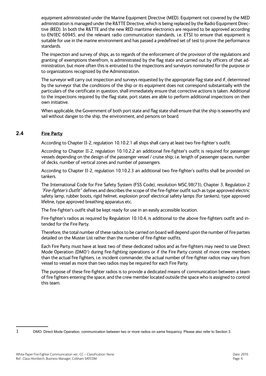equipment administrated under the Marine Equipment Directive (MED). Equipment not covered by the MED administration is managed under the R&TTE Directive, which is being replaced by the Radio Equipment Directive (RED). In both the R&TTE and the new RED maritime electronics are required to be approved according to EN/IEC 60945, and the relevant radio communication standards, i.e. ETSI to ensure that equipment is suitable for use in the marine environment and has passed a predefined set of test to prove the performance standards.

The inspection and survey of ships, as to regards of the enforcement of the provision of the regulations and granting of exemptions therefrom, is administrated by the flag state and carried out by officers of that administration, but more often this is entrusted to the inspections and surveyors nominated for the purpose or to organizations recognized by the Administration.

The surveyor will carry out inspection and surveys requested by the appropriate flag state and if, determined by the surveyor that the conditions of the ship or its equipment does not correspond substantially with the particulars of the certificate in question, shall immediately ensure that corrective actions is taken. Additional to the inspections required by the flag state, port states are able to perform additional inspections on their own initiative.

When applicable, the Government of both port state and flag state shall ensure that the ship is seaworthy and sail without danger to the ship, the environment, and persons on board.

## **2.4 Fire Party**

According to Chapter II-2, regulation 10.10.2.1 all ships shall carry at least two fire-fighter´s outfit.

According to Chapter II-2, regulation 10.10.2.2 an additional fire-fighter's outfit is required for passenger vessels depending on the design of the passenger vessel / cruise ship; i.e. length of passenger spaces, number of decks, number of vertical zones and number of passengers.

According to Chapter II-2, regulation 10.10.2.3 an additional two fire-fighter's outfits shall be provided on tankers.

The International Code for Fire Safety System (FSS Code), resolution MSC.98(73), Chapter 3, Regulation 2 "Fire-fighter's Outfit" defines and describes the scope of the fire-fighter outfit such as type approved electric safety lamp, rubber boots, rigid helmet, explosion proof electrical safety lamps (for tankers), type approved lifeline, type approved breathing apparatus etc.

The fire-fighter's outfit shall be kept ready for use in an easily accessible location.

Fire-fighter's radios as required by Regulation 10.10.4, is additional to the above fire-fighters outfit and intended for the Fire Party.

Therefore, the total number of these radios to be carried on board will depend upon the number of fire parties detailed on the Muster List rather than the number of fire-fighter outfits.

Each Fire Party must have at least two of these dedicated radios and as fire-fighters may need to use Direct Mode Operation (DMO<sup>1</sup>) during fire-fighting operations or if the Fire Party consist of more crew members than the actual fire fighters, i.e. incident commander, the actual number of fire-fighter radios may vary from vessel to vessel as more than two radios may be required for each Fire Party.

The purpose of these fire-fighter radios is to provide a dedicated means of communication between a team of fire fighters entering the space, and the crew member located outside the space who is assigned to control this team.

<sup>1</sup> DMO: Direct Mode Operation, communication between two or more radios on same frequency. Please also refer to Section 3.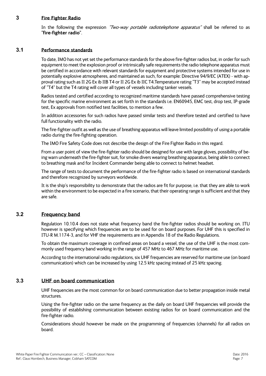## **3 Fire Fighter Radio**

In the following the expression "Two-way portable radiotelephone apparatus" shall be referred to as **"fire-fighter radio"**.

#### **3.1 Performance standards**

To date, IMO has not yet set the performance standards for the above fire-fighter radios but, in order for such equipment to meet the explosion proof or intrinsically safe requirements the radio telephone apparatus must be certified in accordance with relevant standards for equipment and protective systems intended for use in potentially explosive atmospheres, and maintained as such, for example: Directive 94/9/EC (ATEX) - with approval rating such as II 2G Ex ib IIB T4 or II 2G Ex ib IIC T4.Temperature rating "T3" may be accepted instead of "T4" but the T4 rating will cover all types of vessels including tanker vessels.

Radios tested and certified according to recognized maritime standards have passed comprehensive testing for the specific marine environment as set forth in the standards i.e. EN60945, EMC test, drop test, IP-grade test, Ex approvals from notified test facilities, to mention a few.

In addition accessories for such radios have passed similar tests and therefore tested and certified to have full functionality with the radio.

The fire-fighter outfit as well as the use of breathing apparatus will leave limited possibility of using a portable radio during the fire-fighting operation.

The IMO Fire Safety Code does not describe the design of the Fire Fighter Radio in this regard.

From a user point of view the fire-fighter radio should be designed for use with large gloves, possibility of being warn underneath the fire-fighter suit, for smoke divers wearing breathing apparatus, being able to connect to breathing mask and for Incident Commander being able to connect to helmet headset.

The range of tests to document the performance of the fire-fighter radio is based on international standards and therefore recognized by surveyors worldwide.

It is the ship's responsibility to demonstrate that the radios are fit for purpose, i.e. that they are able to work within the environment to be expected in a fire scenario, that their operating range is sufficient and that they are safe.

## **3.2 Frequency band**

Regulation 10.10.4 does not state what frequency band the fire-fighter radios should be working on. ITU however is specifying which frequencies are to be used for on board purposes. For UHF this is specified in ITU-R M.1174-3, and for VHF the requirements are in Appendix 18 of the Radio Regulations.

To obtain the maximum coverage in confined areas on board a vessel, the use of the UHF is the most commonly used frequency band working in the range of 457 MHz to 467 MHz for maritime use.

According to the international radio regulations, six UHF frequencies are reserved for maritime use (on board communication) which can be increased by using 12.5 kHz spacing instead of 25 kHz spacing.

# **3.3 UHF on board communication**

UHF frequencies are the most common for on board communication due to better propagation inside metal structures.

Using the fire-fighter radio on the same frequency as the daily on board UHF frequencies will provide the possibility of establishing communication between existing radios for on board communication and the fire-fighter radio.

Considerations should however be made on the programming of frequencies (channels) for all radios on board.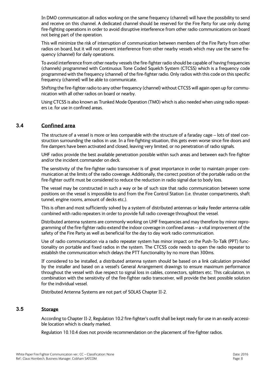In DMO communication all radios working on the same frequency (channel) will have the possibility to send and receive on this channel. A dedicated channel should be reserved for the Fire Party for use only during fire-fighting operations in order to avoid disruptive interference from other radio communications on board not being part of the operation.

This will minimize the risk of interruption of communication between members of the Fire Party from other radios on board, but it will not prevent interference from other nearby vessels which may use the same frequency (channel) for daily operations.

To avoid interference from other nearby vessels the fire-fighter radio should be capable of having frequencies (channels) programmed with Continuous Tone Coded Squelch System (CTCSS) which is a frequency code programmed with the frequency (channel) of the fire-fighter radio. Only radios with this code on this specific frequency (channel) will be able to communicate.

Shifting the fire-fighter radio to any other frequency (channel) without CTCSS will again open up for communication with all other radios on board or nearby.

Using CTCSS is also known as Trunked Mode Operation (TMO) which is also needed when using radio repeaters i.e. for use in confined areas.

## **3.4 Confined area**

The structure of a vessel is more or less comparable with the structure of a faraday cage – lots of steel construction surrounding the radios in use. In a fire-fighting situation, this gets even worse since fire doors and fire dampers have been activated and closed, leaving very limited, or no penetration of radio signals.

UHF radios provide the best available penetration possible within such areas and between each fire-fighter and/or the incident commander on deck.

The sensitivity of the fire-fighter radio transceiver is of great importance in order to maintain proper communication at the limits of the radio coverage. Additionally, the correct position of the portable radio on the fire-fighter outfit must be considered to reduce the reduction in radio signal due to body loss.

The vessel may be constructed in such a way or be of such size that radio communication between some positions on the vessel is impossible to and from the Fire Control Station (i.e. thruster compartments, shaft tunnel, engine rooms, amount of decks etc.).

This is often and most sufficiently solved by a system of distributed antennas or leaky feeder antenna cable combined with radio repeaters in order to provide full radio coverage throughout the vessel.

Distributed antenna systems are commonly working on UHF frequencies and may therefore by minor reprogramming of the fire-fighter radio extend the indoor coverage in confined areas – a vital improvement of the safety of the Fire Party as well as beneficial for the day to day work radio communication.

Use of radio communication via a radio repeater system has minor impact on the Push-To-Talk (PPT) functionality on portable and fixed radios in the system. The CTCSS code needs to open the radio repeater to establish the communication which delays the PTT functionality by no more than 300ms.

If considered to be installed, a distributed antenna system should be based on a link calculation provided by the installer and based on a vessel's General Arrangement drawings to ensure maximum performance throughout the vessel with due respect to signal loss in cables, connectors, splitters etc. This calculation, in combination with the sensitivity of the fire-fighter radio transceiver, will provide the best possible solution for the individual vessel.

Distributed Antenna Systems are not part of SOLAS Chapter II-2.

#### **3.5 Storage**

According to Chapter II-2, Regulation 10.2 fire-fighter's outfit shall be kept ready for use in an easily accessible location which is clearly marked.

Regulation 10.10.4 does not provide recommendation on the placement of fire-fighter radios.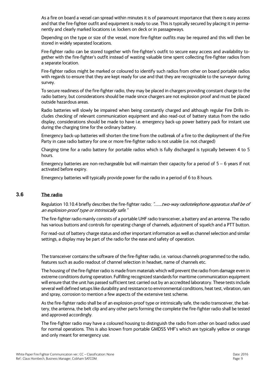As a fire on board a vessel can spread within minutes it is of paramount importance that there is easy access and that the fire-fighter outfit and equipment is ready to use. This is typically secured by placing it in permanently and clearly marked locations i.e. lockers on deck or in passageways.

Depending on the type or size of the vessel, more fire-fighter outfits may be required and this will then be stored in widely separated locations.

Fire-fighter radio can be stored together with fire-fighter's outfit to secure easy access and availability together with the fire-fighter's outfit instead of wasting valuable time spent collecting fire-fighter radios from a separate location.

Fire-fighter radios might be marked or coloured to identify such radios from other on board portable radios with regards to ensure that they are kept ready for use and that they are recognizable to the surveyor during survey.

To secure readiness of the fire-fighter radio, they may be placed in chargers providing constant charge to the radio battery, but considerations should be made since chargers are not explosion proof and must be placed outside hazardous areas.

Radio batteries will slowly be impaired when being constantly charged and although regular Fire Drills includes checking of relevant communication equipment and also read-out of battery status from the radio display, considerations should be made to have i.e. emergency back-up power battery pack for instant use during the charging time for the ordinary battery.

Emergency back-up batteries will shorten the time from the outbreak of a fire to the deployment of the Fire Party in case radio battery for one or more fire-fighter radio is not usable (i.e. not charged)

Charging time for a radio battery for portable radios which is fully discharged is typically between 4 to 5 hours.

Emergency batteries are non-rechargeable but will maintain their capacity for a period of 5 – 6 years if not activated before expiry.

Emergency batteries will typically provide power for the radio in a period of 6 to 8 hours.

## **3.6 The radio**

Regulation 10.10.4 briefly describes the fire-fighter radio; ".......two-way radiotelephone apparatus shall be of an explosion-proof type or intrinsically safe."

The fire-fighter radio mainly consists of a portable UHF radio transceiver, a battery and an antenna. The radio has various buttons and controls for operating change of channels, adjustment of squelch and a PTT button.

For read-out of battery charge status and other important information as well as channel selection and similar settings, a display may be part of the radio for the ease and safety of operation.

The transceiver contains the software of the fire-fighter radio, i.e. various channels programmed to the radio, features such as audio readout of channel selection in headset, name of channels etc.

The housing of the fire-fighter radio is made from materials which will prevent the radio from damage even in extreme conditions during operation. Fulfilling recognized standards for maritime communication equipment will ensure that the unit has passed sufficient test carried out by an accredited laboratory. These tests include several well defined setups like durability and resistance to environmental conditions, heat test, vibration, rain and spray, corrosion to mention a few aspects of the extensive test scheme.

As the fire-fighter radio shall be of an explosion-proof type or intrinsically safe, the radio transceiver, the battery, the antenna, the belt clip and any other parts forming the complete the fire-fighter radio shall be tested and approved accordingly.

The fire-fighter radio may have a coloured housing to distinguish the radio from other on board radios used for normal operations. This is also known from portable GMDSS VHF's which are typically yellow or orange and only meant for emergency use.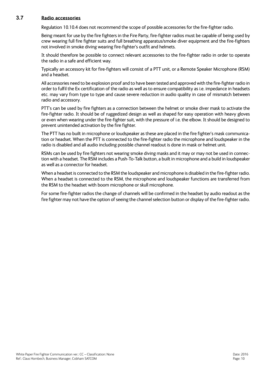#### **3.7 Radio accessories**

Regulation 10.10.4 does not recommend the scope of possible accessories for the fire-fighter radio.

Being meant for use by the fire fighters in the Fire Party, fire-fighter radios must be capable of being used by crew wearing full fire fighter suits and full breathing apparatus/smoke diver equipment and the fire-fighters not involved in smoke diving wearing fire-fighter's outfit and helmets.

It should therefore be possible to connect relevant accessories to the fire-fighter radio in order to operate the radio in a safe and efficient way.

Typically an accessory kit for fire-fighters will consist of a PTT unit, or a Remote Speaker Microphone (RSM) and a headset.

All accessories need to be explosion proof and to have been tested and approved with the fire-fighter radio in order to fulfil the Ex certification of the radio as well as to ensure compatibility as i.e. impedance in headsets etc. may vary from type to type and cause severe reduction in audio quality in case of mismatch between radio and accessory.

PTT's can be used by fire fighters as a connection between the helmet or smoke diver mask to activate the fire-fighter radio. It should be of ruggedized design as well as shaped for easy operation with heavy gloves or even when wearing under the fire-fighter suit, with the pressure of i.e. the elbow. It should be designed to prevent unintended activation by the fire fighter.

The PTT has no built in microphone or loudspeaker as these are placed in the fire fighter's mask communication or headset. When the PTT is connected to the fire-fighter radio the microphone and loudspeaker in the radio is disabled and all audio including possible channel readout is done in mask or helmet unit.

RSMs can be used by fire fighters not wearing smoke diving masks and it may or may not be used in connection with a headset. The RSM includes a Push-To-Talk button, a built in microphone and a build in loudspeaker as well as a connector for headset.

When a headset is connected to the RSM the loudspeaker and microphone is disabled in the fire-fighter radio. When a headset is connected to the RSM, the microphone and loudspeaker functions are transferred from the RSM to the headset with boom microphone or skull microphone.

For some fire-fighter radios the change of channels will be confirmed in the headset by audio readout as the fire fighter may not have the option of seeing the channel selection button or display of the fire-fighter radio.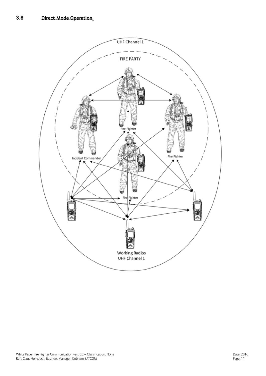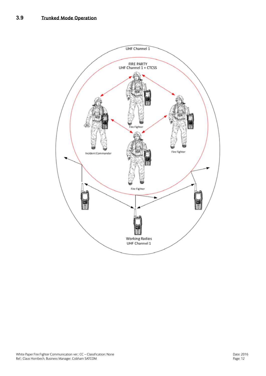